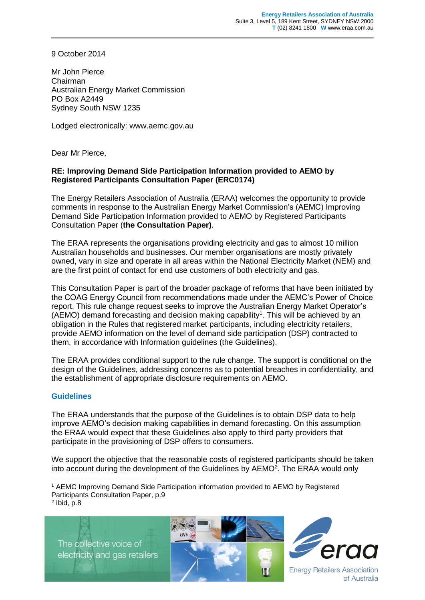9 October 2014

Mr John Pierce Chairman Australian Energy Market Commission PO Box A2449 Sydney South NSW 1235

Lodged electronically: www.aemc.gov.au

Dear Mr Pierce,

## **RE: Improving Demand Side Participation Information provided to AEMO by Registered Participants Consultation Paper (ERC0174)**

The Energy Retailers Association of Australia (ERAA) welcomes the opportunity to provide comments in response to the Australian Energy Market Commission's (AEMC) Improving Demand Side Participation Information provided to AEMO by Registered Participants Consultation Paper (**the Consultation Paper)**.

The ERAA represents the organisations providing electricity and gas to almost 10 million Australian households and businesses. Our member organisations are mostly privately owned, vary in size and operate in all areas within the National Electricity Market (NEM) and are the first point of contact for end use customers of both electricity and gas.

This Consultation Paper is part of the broader package of reforms that have been initiated by the COAG Energy Council from recommendations made under the AEMC's Power of Choice report. This rule change request seeks to improve the Australian Energy Market Operator's (AEMO) demand forecasting and decision making capability<sup>1</sup>. This will be achieved by an obligation in the Rules that registered market participants, including electricity retailers, provide AEMO information on the level of demand side participation (DSP) contracted to them, in accordance with Information guidelines (the Guidelines).

The ERAA provides conditional support to the rule change. The support is conditional on the design of the Guidelines, addressing concerns as to potential breaches in confidentiality, and the establishment of appropriate disclosure requirements on AEMO.

## **Guidelines**

The ERAA understands that the purpose of the Guidelines is to obtain DSP data to help improve AEMO's decision making capabilities in demand forecasting. On this assumption the ERAA would expect that these Guidelines also apply to third party providers that participate in the provisioning of DSP offers to consumers.

We support the objective that the reasonable costs of registered participants should be taken into account during the development of the Guidelines by AEMO<sup>2</sup>. The ERAA would only

 $2$  lbid, p.8

-

The collective voice of electricity and gas retailers





of Australia

<sup>1</sup> AEMC Improving Demand Side Participation information provided to AEMO by Registered Participants Consultation Paper, p.9